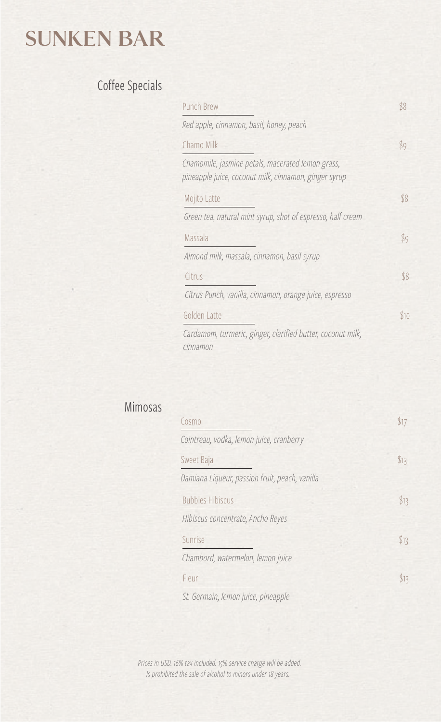## SUNKEN BAR

#### Coffee Specials

| <b>Punch Brew</b>                                                                                          | \$8                      |
|------------------------------------------------------------------------------------------------------------|--------------------------|
| Red apple, cinnamon, basil, honey, peach                                                                   |                          |
| Chamo Milk                                                                                                 | S9                       |
| Chamomile, jasmine petals, macerated lemon grass,<br>pineapple juice, coconut milk, cinnamon, ginger syrup |                          |
| Mojito Latte                                                                                               | \$8                      |
| Green tea, natural mint syrup, shot of espresso, half cream                                                |                          |
| Massala                                                                                                    | $\mathcal{S}^{\text{Q}}$ |
| Almond milk, massala, cinnamon, basil syrup                                                                |                          |
| Citrus                                                                                                     | \$8                      |
| Citrus Punch, vanilla, cinnamon, orange juice, espresso                                                    |                          |
| Golden Latte                                                                                               | \$10                     |
| Cardamom, turmeric, ginger, clarified butter, coconut milk,                                                |                          |

#### Mimosas

*cinnamon* 

| Cosmo                                          | \$17 |
|------------------------------------------------|------|
| Cointreau, vodka, lemon juice, cranberry       |      |
| Sweet Baja                                     | \$13 |
| Damiana Liqueur, passion fruit, peach, vanilla |      |
| <b>Bubbles Hibiscus</b>                        | \$13 |
| Hibiscus concentrate, Ancho Reyes              |      |
| Sunrise                                        | \$13 |
| Chambord, watermelon, lemon juice              |      |
| Fleur                                          | \$13 |
| St. Germain, lemon juice, pineapple            |      |

*Prices in USD. 16% tax included. 15% service charge will be added. Is prohibited the sale of alcohol to minors under 18 years.*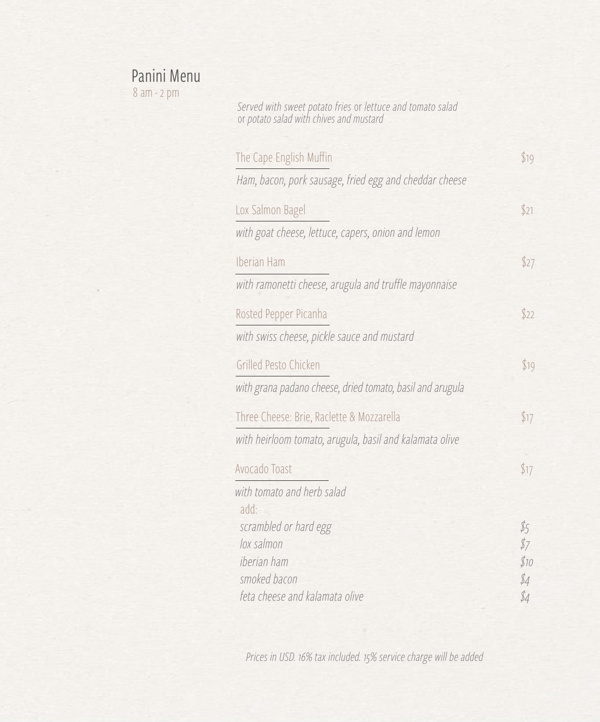#### Panini Menu

8 am - 2 pm

*Served with sweet potato fries* or *lettuce and tomato salad*  or *potato salad with chives and mustard*

| The Cape English Muffin                                   | \$19          |
|-----------------------------------------------------------|---------------|
| Ham, bacon, pork sausage, fried egg and cheddar cheese    |               |
| Lox Salmon Bagel                                          | \$21          |
| with goat cheese, lettuce, capers, onion and lemon        |               |
| Iberian Ham                                               | \$27          |
| with ramonetti cheese, arugula and truffle mayonnaise     |               |
| Rosted Pepper Picanha                                     | \$22          |
| with swiss cheese, pickle sauce and mustard               |               |
| Grilled Pesto Chicken                                     | \$19          |
| with grana padano cheese, dried tomato, basil and arugula |               |
| Three Cheese: Brie, Raclette & Mozzarella                 | \$17          |
| with heirloom tomato, arugula, basil and kalamata olive   |               |
| Avocado Toast                                             | \$17          |
| with tomato and herb salad<br>add.                        |               |
| scrambled or hard egg                                     | $\frac{1}{5}$ |
| lox salmon                                                | \$7           |
| iberian ham<br>smoked bacon                               | \$10<br>\$4   |
| feta cheese and kalamata olive                            | \$4           |

*Prices in USD. 16% tax included. 15% service charge will be added*